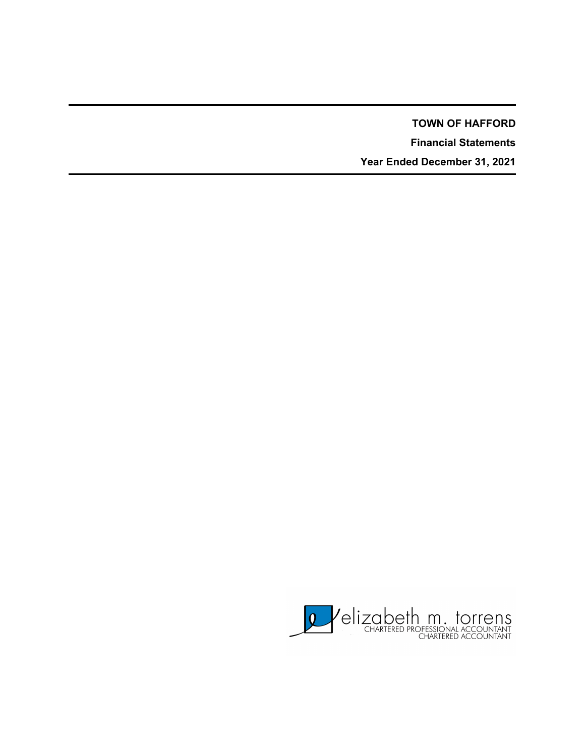**TOWN OF HAFFORD**

**Financial Statements**

**Year Ended December 31, 2021**

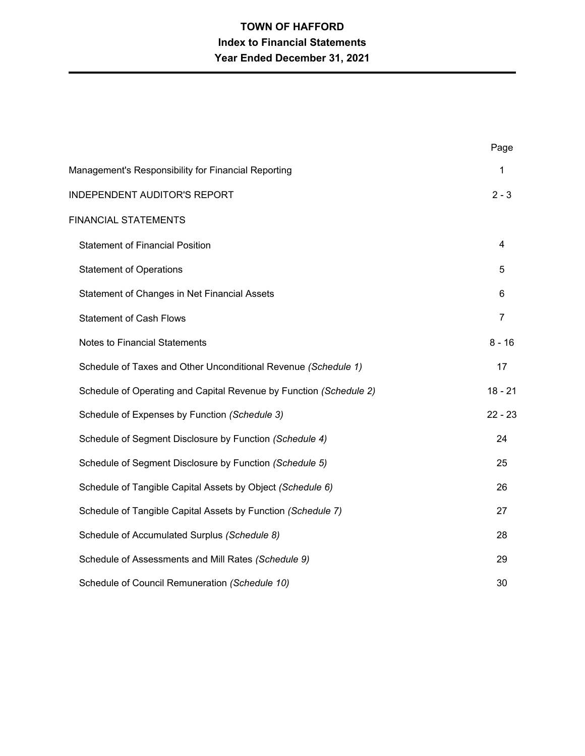### **TOWN OF HAFFORD Index to Financial Statements Year Ended December 31, 2021**

|                                                                    | Page           |
|--------------------------------------------------------------------|----------------|
| Management's Responsibility for Financial Reporting                | 1              |
| <b>INDEPENDENT AUDITOR'S REPORT</b>                                | $2 - 3$        |
| <b>FINANCIAL STATEMENTS</b>                                        |                |
| <b>Statement of Financial Position</b>                             | 4              |
| <b>Statement of Operations</b>                                     | 5              |
| Statement of Changes in Net Financial Assets                       | 6              |
| <b>Statement of Cash Flows</b>                                     | $\overline{7}$ |
| <b>Notes to Financial Statements</b>                               | $8 - 16$       |
| Schedule of Taxes and Other Unconditional Revenue (Schedule 1)     | 17             |
| Schedule of Operating and Capital Revenue by Function (Schedule 2) | $18 - 21$      |
| Schedule of Expenses by Function (Schedule 3)                      | $22 - 23$      |
| Schedule of Segment Disclosure by Function (Schedule 4)            | 24             |
| Schedule of Segment Disclosure by Function (Schedule 5)            | 25             |
| Schedule of Tangible Capital Assets by Object (Schedule 6)         | 26             |
| Schedule of Tangible Capital Assets by Function (Schedule 7)       | 27             |
| Schedule of Accumulated Surplus (Schedule 8)                       | 28             |
| Schedule of Assessments and Mill Rates (Schedule 9)                | 29             |
| Schedule of Council Remuneration (Schedule 10)                     | 30             |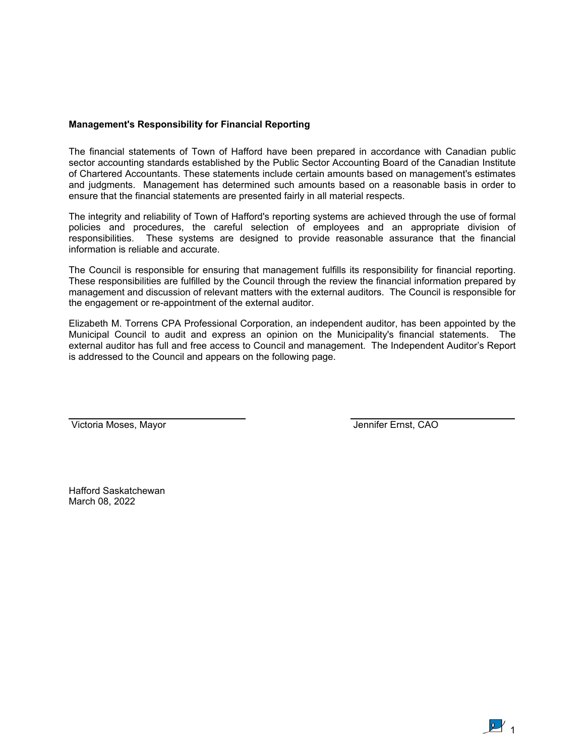#### **Management's Responsibility for Financial Reporting**

The financial statements of Town of Hafford have been prepared in accordance with Canadian public sector accounting standards established by the Public Sector Accounting Board of the Canadian Institute of Chartered Accountants. These statements include certain amounts based on management's estimates and judgments. Management has determined such amounts based on a reasonable basis in order to ensure that the financial statements are presented fairly in all material respects.

The integrity and reliability of Town of Hafford's reporting systems are achieved through the use of formal policies and procedures, the careful selection of employees and an appropriate division of responsibilities. These systems are designed to provide reasonable assurance that the financial information is reliable and accurate.

The Council is responsible for ensuring that management fulfills its responsibility for financial reporting. These responsibilities are fulfilled by the Council through the review the financial information prepared by management and discussion of relevant matters with the external auditors. The Council is responsible for the engagement or re-appointment of the external auditor.

Elizabeth M. Torrens CPA Professional Corporation, an independent auditor, has been appointed by the Municipal Council to audit and express an opinion on the Municipality's financial statements. The external auditor has full and free access to Council and management. The Independent Auditor's Report is addressed to the Council and appears on the following page.

Victoria Moses, Mayor **Victoria Moses, Mayor** Jennifer Ernst, CAO

Hafford Saskatchewan March 08, 2022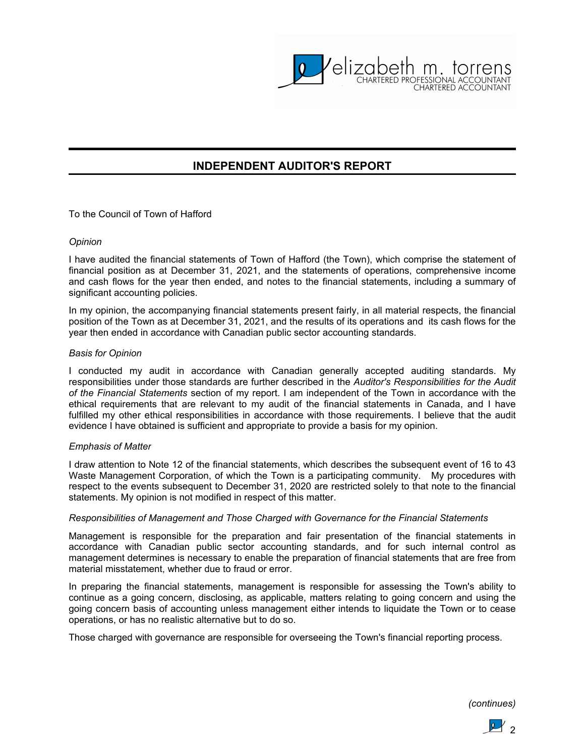

### **INDEPENDENT AUDITOR'S REPORT**

To the Council of Town of Hafford

#### *Opinion*

I have audited the financial statements of Town of Hafford (the Town), which comprise the statement of financial position as at December 31, 2021, and the statements of operations, comprehensive income and cash flows for the year then ended, and notes to the financial statements, including a summary of significant accounting policies.

In my opinion, the accompanying financial statements present fairly, in all material respects, the financial position of the Town as at December 31, 2021, and the results of its operations and its cash flows for the year then ended in accordance with Canadian public sector accounting standards.

#### *Basis for Opinion*

I conducted my audit in accordance with Canadian generally accepted auditing standards. My responsibilities under those standards are further described in the *Auditor's Responsibilities for the Audit of the Financial Statements* section of my report. I am independent of the Town in accordance with the ethical requirements that are relevant to my audit of the financial statements in Canada, and I have fulfilled my other ethical responsibilities in accordance with those requirements. I believe that the audit evidence I have obtained is sufficient and appropriate to provide a basis for my opinion.

#### *Emphasis of Matter*

I draw attention to Note 12 of the financial statements, which describes the subsequent event of 16 to 43 Waste Management Corporation, of which the Town is a participating community. My procedures with respect to the events subsequent to December 31, 2020 are restricted solely to that note to the financial statements. My opinion is not modified in respect of this matter.

#### *Responsibilities of Management and Those Charged with Governance for the Financial Statements*

Management is responsible for the preparation and fair presentation of the financial statements in accordance with Canadian public sector accounting standards, and for such internal control as management determines is necessary to enable the preparation of financial statements that are free from material misstatement, whether due to fraud or error.

In preparing the financial statements, management is responsible for assessing the Town's ability to continue as a going concern, disclosing, as applicable, matters relating to going concern and using the going concern basis of accounting unless management either intends to liquidate the Town or to cease operations, or has no realistic alternative but to do so.

Those charged with governance are responsible for overseeing the Town's financial reporting process.

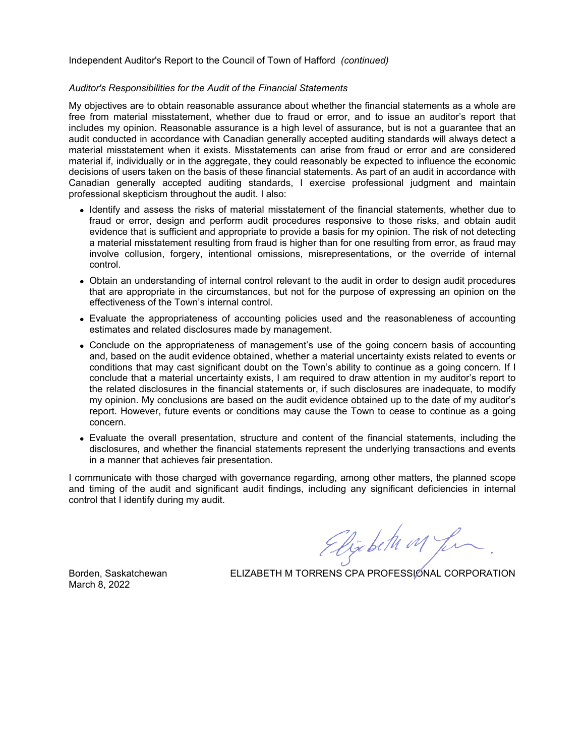Independent Auditor's Report to the Council of Town of Hafford *(continued)*

#### *Auditor's Responsibilities for the Audit of the Financial Statements*

My objectives are to obtain reasonable assurance about whether the financial statements as a whole are free from material misstatement, whether due to fraud or error, and to issue an auditor's report that includes my opinion. Reasonable assurance is a high level of assurance, but is not a guarantee that an audit conducted in accordance with Canadian generally accepted auditing standards will always detect a material misstatement when it exists. Misstatements can arise from fraud or error and are considered material if, individually or in the aggregate, they could reasonably be expected to influence the economic decisions of users taken on the basis of these financial statements. As part of an audit in accordance with Canadian generally accepted auditing standards, I exercise professional judgment and maintain professional skepticism throughout the audit. I also:

- Identify and assess the risks of material misstatement of the financial statements, whether due to fraud or error, design and perform audit procedures responsive to those risks, and obtain audit evidence that is sufficient and appropriate to provide a basis for my opinion. The risk of not detecting a material misstatement resulting from fraud is higher than for one resulting from error, as fraud may involve collusion, forgery, intentional omissions, misrepresentations, or the override of internal control.
- Obtain an understanding of internal control relevant to the audit in order to design audit procedures that are appropriate in the circumstances, but not for the purpose of expressing an opinion on the effectiveness of the Town's internal control.
- Evaluate the appropriateness of accounting policies used and the reasonableness of accounting estimates and related disclosures made by management.
- Conclude on the appropriateness of management's use of the going concern basis of accounting and, based on the audit evidence obtained, whether a material uncertainty exists related to events or conditions that may cast significant doubt on the Town's ability to continue as a going concern. If I conclude that a material uncertainty exists, I am required to draw attention in my auditor's report to the related disclosures in the financial statements or, if such disclosures are inadequate, to modify my opinion. My conclusions are based on the audit evidence obtained up to the date of my auditor's report. However, future events or conditions may cause the Town to cease to continue as a going concern.
- Evaluate the overall presentation, structure and content of the financial statements, including the disclosures, and whether the financial statements represent the underlying transactions and events in a manner that achieves fair presentation.

I communicate with those charged with governance regarding, among other matters, the planned scope and timing of the audit and significant audit findings, including any significant deficiencies in internal control that I identify during my audit.

Elijabeth as fin

March 8, 2022

Borden, Saskatchewan ELIZABETH M TORRENS CPA PROFESSIONAL CORPORATION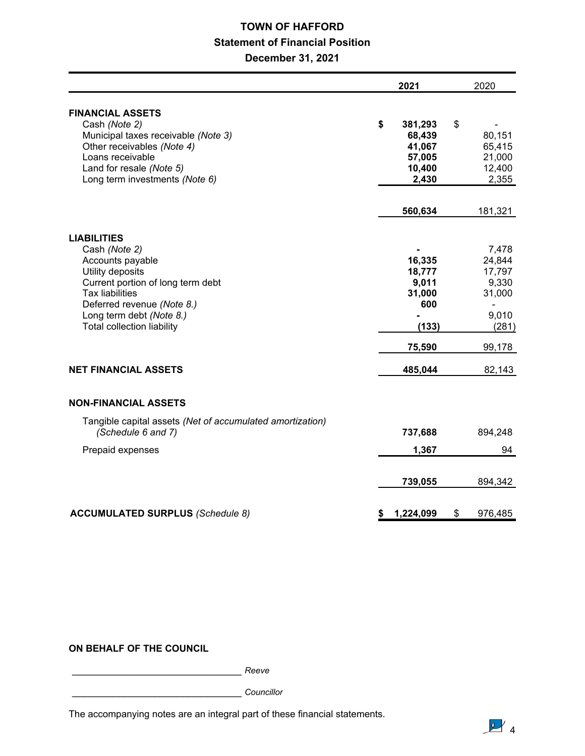# **TOWN OF HAFFORD Statement of Financial Position**

**December 31, 2021**

|                                                                                                                                                                                                                                                                          |    | 2021                                                                     | 2020                                                                               |
|--------------------------------------------------------------------------------------------------------------------------------------------------------------------------------------------------------------------------------------------------------------------------|----|--------------------------------------------------------------------------|------------------------------------------------------------------------------------|
| <b>FINANCIAL ASSETS</b><br>Cash (Note 2)<br>Municipal taxes receivable (Note 3)<br>Other receivables (Note 4)<br>Loans receivable<br>Land for resale (Note 5)<br>Long term investments (Note 6)                                                                          | \$ | 381,293<br>68,439<br>41,067<br>57,005<br>10,400<br>2,430                 | \$<br>80,151<br>65,415<br>21,000<br>12,400<br>2,355                                |
|                                                                                                                                                                                                                                                                          |    | 560,634                                                                  | 181,321                                                                            |
| <b>LIABILITIES</b><br>Cash (Note 2)<br>Accounts payable<br>Utility deposits<br>Current portion of long term debt<br><b>Tax liabilities</b><br>Deferred revenue (Note 8.)<br>Long term debt (Note 8.)<br><b>Total collection liability</b><br><b>NET FINANCIAL ASSETS</b> |    | 16,335<br>18,777<br>9,011<br>31,000<br>600<br>(133)<br>75,590<br>485,044 | 7,478<br>24,844<br>17,797<br>9,330<br>31,000<br>9,010<br>(281)<br>99,178<br>82,143 |
| <b>NON-FINANCIAL ASSETS</b>                                                                                                                                                                                                                                              |    |                                                                          |                                                                                    |
| Tangible capital assets (Net of accumulated amortization)<br>(Schedule 6 and 7)<br>Prepaid expenses                                                                                                                                                                      |    | 737,688<br>1,367<br>739,055                                              | 894,248<br>94<br>894,342                                                           |
| <b>ACCUMULATED SURPLUS (Schedule 8)</b>                                                                                                                                                                                                                                  | æ. | 1,224,099                                                                | \$<br>976,485                                                                      |

**ON BEHALF OF THE COUNCIL**

\_\_\_\_\_\_\_\_\_\_\_\_\_\_\_\_\_\_\_\_\_\_\_\_\_\_\_\_\_ *Reeve*

\_\_\_\_\_\_\_\_\_\_\_\_\_\_\_\_\_\_\_\_\_\_\_\_\_\_\_\_\_ *Councillor*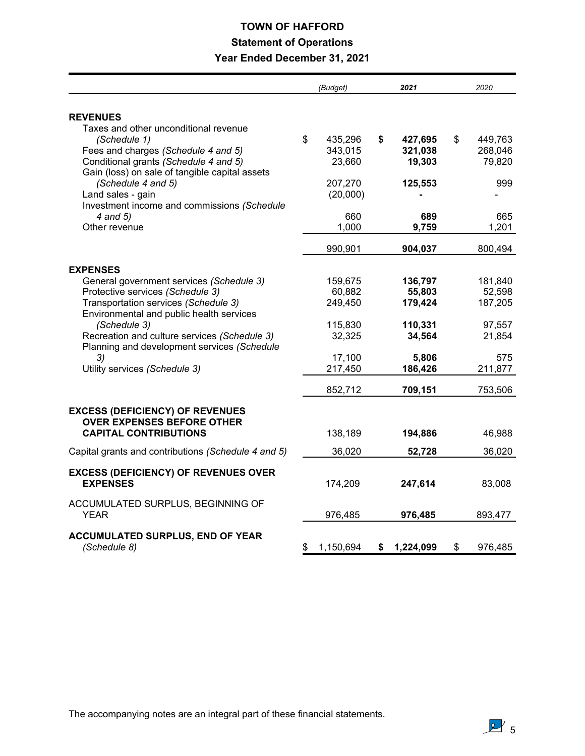### **TOWN OF HAFFORD Statement of Operations Year Ended December 31, 2021**

|                                                                                         |    | (Budget)          | 2021              |    | 2020              |
|-----------------------------------------------------------------------------------------|----|-------------------|-------------------|----|-------------------|
|                                                                                         |    |                   |                   |    |                   |
| <b>REVENUES</b>                                                                         |    |                   |                   |    |                   |
| Taxes and other unconditional revenue                                                   |    |                   |                   |    |                   |
| (Schedule 1)                                                                            | \$ | 435,296           | \$<br>427,695     | \$ | 449,763           |
| Fees and charges (Schedule 4 and 5)                                                     |    | 343,015           | 321,038           |    | 268,046           |
| Conditional grants (Schedule 4 and 5)<br>Gain (loss) on sale of tangible capital assets |    | 23,660            | 19,303            |    | 79,820            |
| (Schedule 4 and 5)                                                                      |    | 207,270           | 125,553           |    | 999               |
| Land sales - gain                                                                       |    | (20,000)          |                   |    |                   |
| Investment income and commissions (Schedule                                             |    |                   |                   |    |                   |
| 4 and 5)                                                                                |    | 660               | 689               |    | 665               |
| Other revenue                                                                           |    | 1,000             | 9,759             |    | 1,201             |
|                                                                                         |    | 990,901           | 904,037           |    | 800,494           |
|                                                                                         |    |                   |                   |    |                   |
| <b>EXPENSES</b>                                                                         |    |                   |                   |    |                   |
| General government services (Schedule 3)<br>Protective services (Schedule 3)            |    | 159,675<br>60,882 | 136,797<br>55,803 |    | 181,840<br>52,598 |
| Transportation services (Schedule 3)                                                    |    | 249,450           | 179,424           |    | 187,205           |
| Environmental and public health services                                                |    |                   |                   |    |                   |
| (Schedule 3)                                                                            |    | 115,830           | 110,331           |    | 97,557            |
| Recreation and culture services (Schedule 3)                                            |    | 32,325            | 34,564            |    | 21,854            |
| Planning and development services (Schedule                                             |    |                   |                   |    |                   |
| 3)                                                                                      |    | 17,100            | 5,806             |    | 575               |
| Utility services (Schedule 3)                                                           |    | 217,450           | 186,426           |    | 211,877           |
|                                                                                         |    | 852,712           | 709,151           |    | 753,506           |
|                                                                                         |    |                   |                   |    |                   |
| <b>EXCESS (DEFICIENCY) OF REVENUES</b><br><b>OVER EXPENSES BEFORE OTHER</b>             |    |                   |                   |    |                   |
| <b>CAPITAL CONTRIBUTIONS</b>                                                            |    | 138,189           | 194,886           |    | 46,988            |
| Capital grants and contributions (Schedule 4 and 5)                                     |    | 36,020            | 52,728            |    | 36,020            |
|                                                                                         |    |                   |                   |    |                   |
| <b>EXCESS (DEFICIENCY) OF REVENUES OVER</b>                                             |    |                   |                   |    |                   |
| <b>EXPENSES</b>                                                                         |    | 174,209           | 247,614           |    | 83,008            |
| ACCUMULATED SURPLUS, BEGINNING OF                                                       |    |                   |                   |    |                   |
| <b>YEAR</b>                                                                             |    | 976,485           | 976,485           |    | 893,477           |
| <b>ACCUMULATED SURPLUS, END OF YEAR</b>                                                 |    |                   |                   |    |                   |
| (Schedule 8)                                                                            |    | 1,150,694         | \$<br>1,224,099   | \$ | 976,485           |
|                                                                                         |    |                   |                   |    |                   |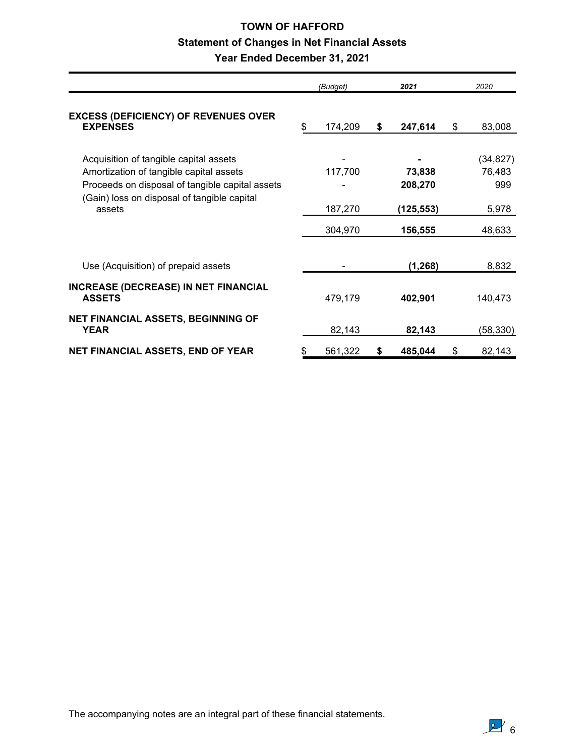### **TOWN OF HAFFORD Statement of Changes in Net Financial Assets Year Ended December 31, 2021**

|                                                                                                                                                                                     |   | (Budget)           | 2021                  | 2020                       |
|-------------------------------------------------------------------------------------------------------------------------------------------------------------------------------------|---|--------------------|-----------------------|----------------------------|
| <b>EXCESS (DEFICIENCY) OF REVENUES OVER</b><br><b>EXPENSES</b>                                                                                                                      |   | 174,209            | \$<br>247,614         | \$<br>83,008               |
| Acquisition of tangible capital assets<br>Amortization of tangible capital assets<br>Proceeds on disposal of tangible capital assets<br>(Gain) loss on disposal of tangible capital |   | 117,700            | 73,838<br>208,270     | (34, 827)<br>76,483<br>999 |
| assets                                                                                                                                                                              |   | 187,270<br>304,970 | (125, 553)<br>156,555 | 5,978<br>48,633            |
| Use (Acquisition) of prepaid assets                                                                                                                                                 |   |                    | (1, 268)              | 8,832                      |
| <b>INCREASE (DECREASE) IN NET FINANCIAL</b><br><b>ASSETS</b>                                                                                                                        |   | 479,179            | 402,901               | 140,473                    |
| <b>NET FINANCIAL ASSETS, BEGINNING OF</b><br><b>YEAR</b>                                                                                                                            |   | 82,143             | 82,143                | (58,330)                   |
| <b>NET FINANCIAL ASSETS, END OF YEAR</b>                                                                                                                                            | S | 561,322            | \$<br>485,044         | \$<br>82,143               |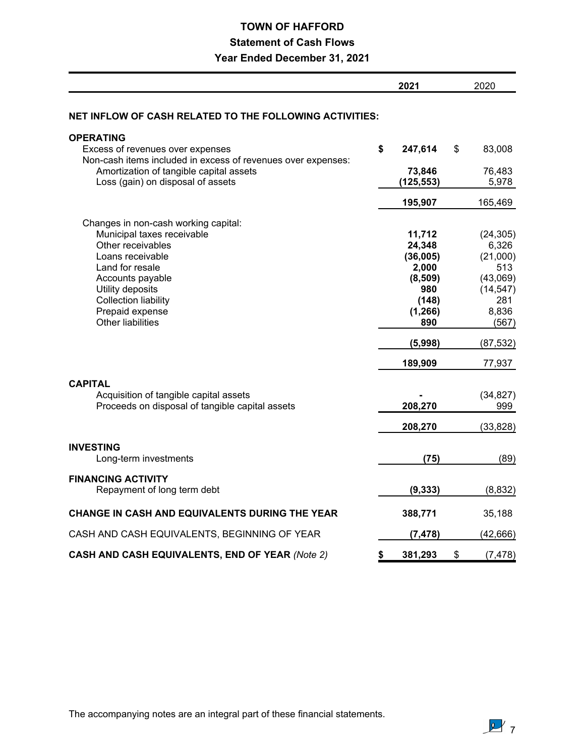### **TOWN OF HAFFORD Statement of Cash Flows Year Ended December 31, 2021**

|                                                                                                             | 2021                         | 2020                           |
|-------------------------------------------------------------------------------------------------------------|------------------------------|--------------------------------|
| NET INFLOW OF CASH RELATED TO THE FOLLOWING ACTIVITIES:                                                     |                              |                                |
| <b>OPERATING</b>                                                                                            |                              |                                |
| Excess of revenues over expenses<br>Non-cash items included in excess of revenues over expenses:            | \$<br>247,614                | \$<br>83,008                   |
| Amortization of tangible capital assets<br>Loss (gain) on disposal of assets                                | 73,846<br>(125, 553)         | 76,483<br>5,978                |
|                                                                                                             | 195,907                      | 165,469                        |
| Changes in non-cash working capital:<br>Municipal taxes receivable<br>Other receivables<br>Loans receivable | 11,712<br>24,348<br>(36,005) | (24, 305)<br>6,326<br>(21,000) |
| Land for resale<br>Accounts payable<br>Utility deposits                                                     | 2,000<br>(8,509)<br>980      | 513<br>(43,069)<br>(14, 547)   |
| <b>Collection liability</b><br>Prepaid expense<br><b>Other liabilities</b>                                  | (148)<br>(1, 266)<br>890     | 281<br>8,836<br>(567)          |
|                                                                                                             | (5,998)                      | (87, 532)                      |
|                                                                                                             | 189,909                      | 77,937                         |
| <b>CAPITAL</b><br>Acquisition of tangible capital assets<br>Proceeds on disposal of tangible capital assets | 208,270                      | (34, 827)<br>999               |
|                                                                                                             | 208,270                      | (33, 828)                      |
| <b>INVESTING</b><br>Long-term investments                                                                   | (75)                         | (89)                           |
| <b>FINANCING ACTIVITY</b><br>Repayment of long term debt                                                    | (9, 333)                     | (8, 832)                       |
| CHANGE IN CASH AND EQUIVALENTS DURING THE YEAR                                                              | 388,771                      | 35,188                         |
| CASH AND CASH EQUIVALENTS, BEGINNING OF YEAR                                                                | (7, 478)                     | (42, 666)                      |
| <b>CASH AND CASH EQUIVALENTS, END OF YEAR (Note 2)</b>                                                      | \$<br>381,293                | \$<br>(7, 478)                 |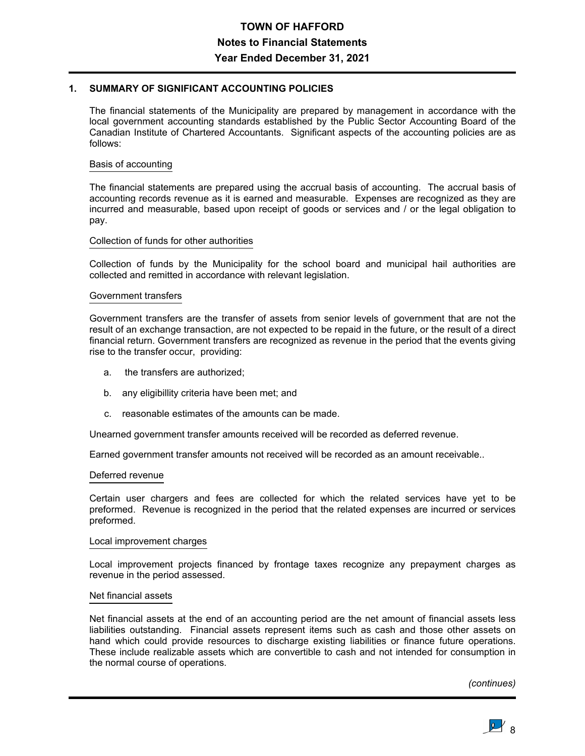#### **1. SUMMARY OF SIGNIFICANT ACCOUNTING POLICIES**

The financial statements of the Municipality are prepared by management in accordance with the local government accounting standards established by the Public Sector Accounting Board of the Canadian Institute of Chartered Accountants. Significant aspects of the accounting policies are as follows:

#### Basis of accounting

The financial statements are prepared using the accrual basis of accounting. The accrual basis of accounting records revenue as it is earned and measurable. Expenses are recognized as they are incurred and measurable, based upon receipt of goods or services and / or the legal obligation to pay.

### Collection of funds for other authorities

Collection of funds by the Municipality for the school board and municipal hail authorities are collected and remitted in accordance with relevant legislation.

### Government transfers

Government transfers are the transfer of assets from senior levels of government that are not the result of an exchange transaction, are not expected to be repaid in the future, or the result of a direct financial return. Government transfers are recognized as revenue in the period that the events giving rise to the transfer occur, providing:

- a. the transfers are authorized;
- b. any eligibillity criteria have been met; and
- c. reasonable estimates of the amounts can be made.

Unearned government transfer amounts received will be recorded as deferred revenue.

Earned government transfer amounts not received will be recorded as an amount receivable..

#### Deferred revenue

Certain user chargers and fees are collected for which the related services have yet to be preformed. Revenue is recognized in the period that the related expenses are incurred or services preformed.

#### Local improvement charges

Local improvement projects financed by frontage taxes recognize any prepayment charges as revenue in the period assessed.

### Net financial assets

Net financial assets at the end of an accounting period are the net amount of financial assets less liabilities outstanding. Financial assets represent items such as cash and those other assets on hand which could provide resources to discharge existing liabilities or finance future operations. These include realizable assets which are convertible to cash and not intended for consumption in the normal course of operations.

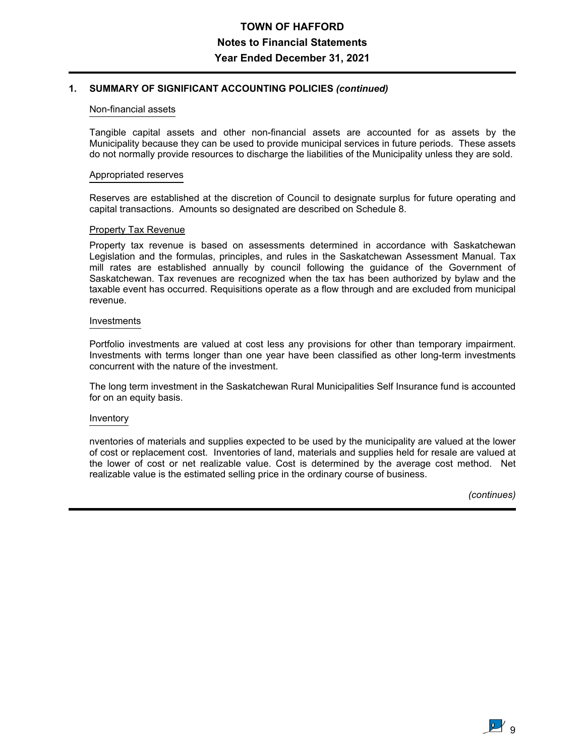#### Non-financial assets

Tangible capital assets and other non-financial assets are accounted for as assets by the Municipality because they can be used to provide municipal services in future periods. These assets do not normally provide resources to discharge the liabilities of the Municipality unless they are sold.

#### Appropriated reserves

Reserves are established at the discretion of Council to designate surplus for future operating and capital transactions. Amounts so designated are described on Schedule 8.

#### Property Tax Revenue

Property tax revenue is based on assessments determined in accordance with Saskatchewan Legislation and the formulas, principles, and rules in the Saskatchewan Assessment Manual. Tax mill rates are established annually by council following the guidance of the Government of Saskatchewan. Tax revenues are recognized when the tax has been authorized by bylaw and the taxable event has occurred. Requisitions operate as a flow through and are excluded from municipal revenue.

#### Investments

Portfolio investments are valued at cost less any provisions for other than temporary impairment. Investments with terms longer than one year have been classified as other long-term investments concurrent with the nature of the investment.

The long term investment in the Saskatchewan Rural Municipalities Self Insurance fund is accounted for on an equity basis.

#### Inventory

nventories of materials and supplies expected to be used by the municipality are valued at the lower of cost or replacement cost. Inventories of land, materials and supplies held for resale are valued at the lower of cost or net realizable value. Cost is determined by the average cost method. Net realizable value is the estimated selling price in the ordinary course of business.

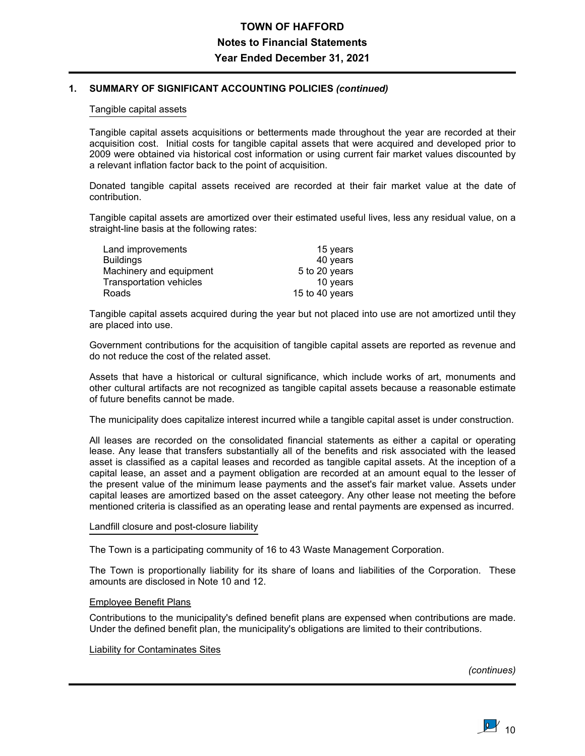#### Tangible capital assets

Tangible capital assets acquisitions or betterments made throughout the year are recorded at their acquisition cost. Initial costs for tangible capital assets that were acquired and developed prior to 2009 were obtained via historical cost information or using current fair market values discounted by a relevant inflation factor back to the point of acquisition.

Donated tangible capital assets received are recorded at their fair market value at the date of contribution.

Tangible capital assets are amortized over their estimated useful lives, less any residual value, on a straight-line basis at the following rates:

| Land improvements              | 15 years       |
|--------------------------------|----------------|
| <b>Buildinas</b>               | 40 years       |
| Machinery and equipment        | 5 to 20 years  |
| <b>Transportation vehicles</b> | 10 years       |
| Roads                          | 15 to 40 years |

Tangible capital assets acquired during the year but not placed into use are not amortized until they are placed into use.

Government contributions for the acquisition of tangible capital assets are reported as revenue and do not reduce the cost of the related asset.

Assets that have a historical or cultural significance, which include works of art, monuments and other cultural artifacts are not recognized as tangible capital assets because a reasonable estimate of future benefits cannot be made.

The municipality does capitalize interest incurred while a tangible capital asset is under construction.

All leases are recorded on the consolidated financial statements as either a capital or operating lease. Any lease that transfers substantially all of the benefits and risk associated with the leased asset is classified as a capital leases and recorded as tangible capital assets. At the inception of a capital lease, an asset and a payment obligation are recorded at an amount equal to the lesser of the present value of the minimum lease payments and the asset's fair market value. Assets under capital leases are amortized based on the asset cateegory. Any other lease not meeting the before mentioned criteria is classified as an operating lease and rental payments are expensed as incurred.

#### Landfill closure and post-closure liability

The Town is a participating community of 16 to 43 Waste Management Corporation.

The Town is proportionally liability for its share of loans and liabilities of the Corporation. These amounts are disclosed in Note 10 and 12.

#### Employee Benefit Plans

Contributions to the municipality's defined benefit plans are expensed when contributions are made. Under the defined benefit plan, the municipality's obligations are limited to their contributions.

#### Liability for Contaminates Sites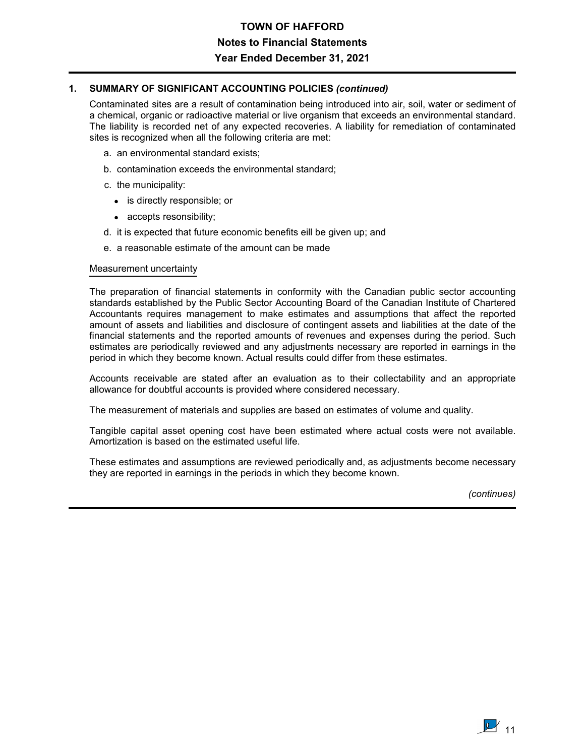Contaminated sites are a result of contamination being introduced into air, soil, water or sediment of a chemical, organic or radioactive material or live organism that exceeds an environmental standard. The liability is recorded net of any expected recoveries. A liability for remediation of contaminated sites is recognized when all the following criteria are met:

- a. an environmental standard exists;
- b. contamination exceeds the environmental standard;
- c. the municipality:
	- is directly responsible; or
	- accepts resonsibility;
- d. it is expected that future economic benefits eill be given up; and
- e. a reasonable estimate of the amount can be made

#### Measurement uncertainty

The preparation of financial statements in conformity with the Canadian public sector accounting standards established by the Public Sector Accounting Board of the Canadian Institute of Chartered Accountants requires management to make estimates and assumptions that affect the reported amount of assets and liabilities and disclosure of contingent assets and liabilities at the date of the financial statements and the reported amounts of revenues and expenses during the period. Such estimates are periodically reviewed and any adjustments necessary are reported in earnings in the period in which they become known. Actual results could differ from these estimates.

Accounts receivable are stated after an evaluation as to their collectability and an appropriate allowance for doubtful accounts is provided where considered necessary.

The measurement of materials and supplies are based on estimates of volume and quality.

Tangible capital asset opening cost have been estimated where actual costs were not available. Amortization is based on the estimated useful life.

These estimates and assumptions are reviewed periodically and, as adjustments become necessary they are reported in earnings in the periods in which they become known.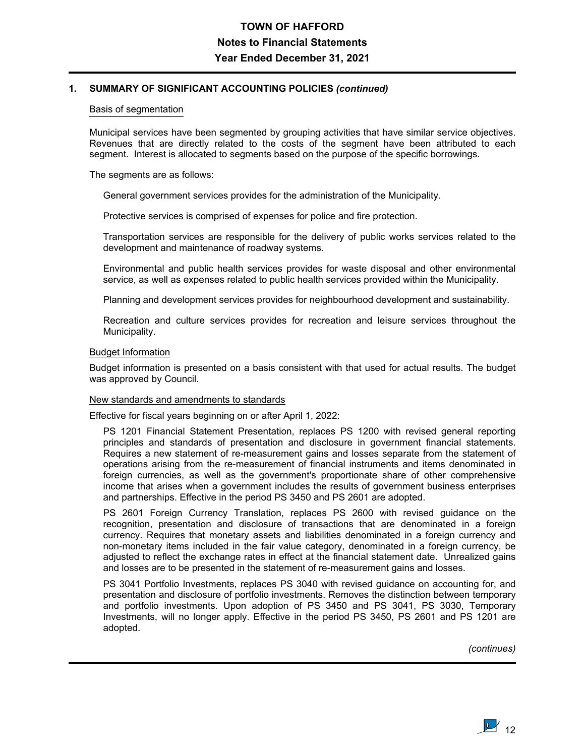#### Basis of segmentation

Municipal services have been segmented by grouping activities that have similar service objectives. Revenues that are directly related to the costs of the segment have been attributed to each segment. Interest is allocated to segments based on the purpose of the specific borrowings.

The segments are as follows:

General government services provides for the administration of the Municipality.

Protective services is comprised of expenses for police and fire protection.

Transportation services are responsible for the delivery of public works services related to the development and maintenance of roadway systems.

Environmental and public health services provides for waste disposal and other environmental service, as well as expenses related to public health services provided within the Municipality.

Planning and development services provides for neighbourhood development and sustainability.

Recreation and culture services provides for recreation and leisure services throughout the Municipality.

#### Budget Information

Budget information is presented on a basis consistent with that used for actual results. The budget was approved by Council.

#### New standards and amendments to standards

Effective for fiscal years beginning on or after April 1, 2022:

PS 1201 Financial Statement Presentation, replaces PS 1200 with revised general reporting principles and standards of presentation and disclosure in government financial statements. Requires a new statement of re-measurement gains and losses separate from the statement of operations arising from the re-measurement of financial instruments and items denominated in foreign currencies, as well as the government's proportionate share of other comprehensive income that arises when a government includes the results of government business enterprises and partnerships. Effective in the period PS 3450 and PS 2601 are adopted.

PS 2601 Foreign Currency Translation, replaces PS 2600 with revised guidance on the recognition, presentation and disclosure of transactions that are denominated in a foreign currency. Requires that monetary assets and liabilities denominated in a foreign currency and non-monetary items included in the fair value category, denominated in a foreign currency, be adjusted to reflect the exchange rates in effect at the financial statement date. Unrealized gains and losses are to be presented in the statement of re-measurement gains and losses.

PS 3041 Portfolio Investments, replaces PS 3040 with revised guidance on accounting for, and presentation and disclosure of portfolio investments. Removes the distinction between temporary and portfolio investments. Upon adoption of PS 3450 and PS 3041, PS 3030, Temporary Investments, will no longer apply. Effective in the period PS 3450, PS 2601 and PS 1201 are adopted.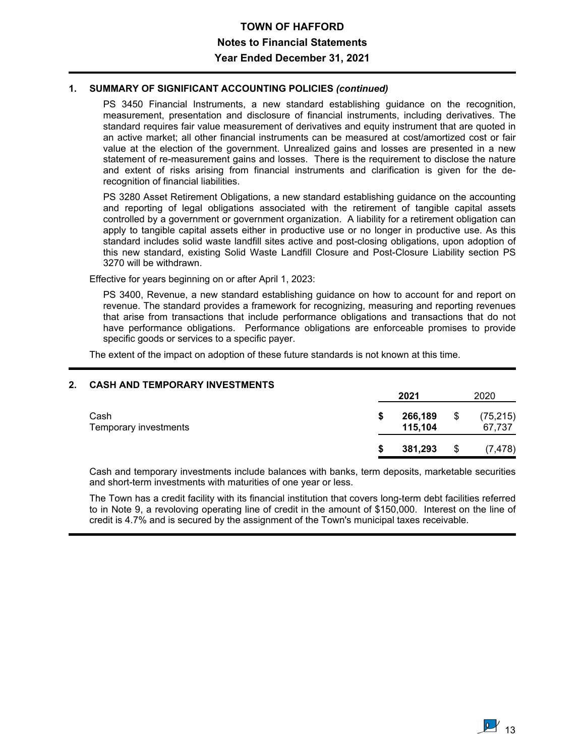PS 3450 Financial Instruments, a new standard establishing guidance on the recognition, measurement, presentation and disclosure of financial instruments, including derivatives. The standard requires fair value measurement of derivatives and equity instrument that are quoted in an active market; all other financial instruments can be measured at cost/amortized cost or fair value at the election of the government. Unrealized gains and losses are presented in a new statement of re-measurement gains and losses. There is the requirement to disclose the nature and extent of risks arising from financial instruments and clarification is given for the derecognition of financial liabilities.

PS 3280 Asset Retirement Obligations, a new standard establishing guidance on the accounting and reporting of legal obligations associated with the retirement of tangible capital assets controlled by a government or government organization. A liability for a retirement obligation can apply to tangible capital assets either in productive use or no longer in productive use. As this standard includes solid waste landfill sites active and post-closing obligations, upon adoption of this new standard, existing Solid Waste Landfill Closure and Post-Closure Liability section PS 3270 will be withdrawn.

Effective for years beginning on or after April 1, 2023:

PS 3400, Revenue, a new standard establishing guidance on how to account for and report on revenue. The standard provides a framework for recognizing, measuring and reporting revenues that arise from transactions that include performance obligations and transactions that do not have performance obligations. Performance obligations are enforceable promises to provide specific goods or services to a specific payer.

The extent of the impact on adoption of these future standards is not known at this time.

| 2. | <b>CASH AND TEMPORARY INVESTMENTS</b> |   |                    |                           |
|----|---------------------------------------|---|--------------------|---------------------------|
|    |                                       |   | 2021               | 2020                      |
|    | Cash<br>Temporary investments         | S | 266,189<br>115,104 | \$<br>(75, 215)<br>67,737 |
|    |                                       |   | 381,293            | \$<br>(7, 478)            |

Cash and temporary investments include balances with banks, term deposits, marketable securities and short-term investments with maturities of one year or less.

The Town has a credit facility with its financial institution that covers long-term debt facilities referred to in Note 9, a revoloving operating line of credit in the amount of \$150,000. Interest on the line of credit is 4.7% and is secured by the assignment of the Town's municipal taxes receivable.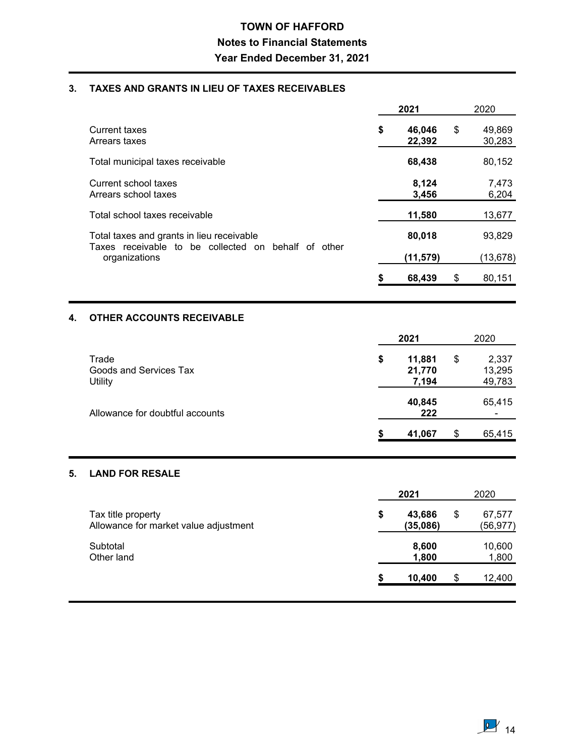### **TOWN OF HAFFORD Notes to Financial Statements Year Ended December 31, 2021**

#### **3. TAXES AND GRANTS IN LIEU OF TAXES RECEIVABLES**

|                                                                      | 2021     |                  | 2020 |                  |
|----------------------------------------------------------------------|----------|------------------|------|------------------|
| Current taxes<br>Arrears taxes                                       | \$       | 46,046<br>22,392 | \$   | 49,869<br>30,283 |
| Total municipal taxes receivable                                     |          | 68,438           |      | 80,152           |
| Current school taxes<br>Arrears school taxes                         |          | 8,124<br>3,456   |      | 7,473<br>6,204   |
| Total school taxes receivable                                        |          | 11,580           |      | 13,677           |
| Total taxes and grants in lieu receivable                            |          | 80,018           |      | 93,829           |
| Taxes receivable to be collected on behalf of other<br>organizations | (11,579) |                  |      | (13, 678)        |
|                                                                      | \$       | 68,439           | \$   | 80,151           |

#### **4. OTHER ACCOUNTS RECEIVABLE**

|                                            | 2021                            |    |                           |
|--------------------------------------------|---------------------------------|----|---------------------------|
| Trade<br>Goods and Services Tax<br>Utility | \$<br>11,881<br>21,770<br>7,194 | \$ | 2,337<br>13,295<br>49,783 |
| Allowance for doubtful accounts            | 40,845<br>222                   |    | 65,415                    |
|                                            | \$<br>41,067                    | \$ | 65,415                    |

### **5. LAND FOR RESALE**

|                                                             | 2021 |                    | 2020 |                    |  |
|-------------------------------------------------------------|------|--------------------|------|--------------------|--|
| Tax title property<br>Allowance for market value adjustment | \$   | 43,686<br>(35,086) | \$   | 67,577<br>(56,977) |  |
| Subtotal<br>Other land                                      |      | 8,600<br>1,800     |      | 10,600<br>1,800    |  |
|                                                             |      | 10,400             | \$   | 12,400             |  |
|                                                             |      |                    |      |                    |  |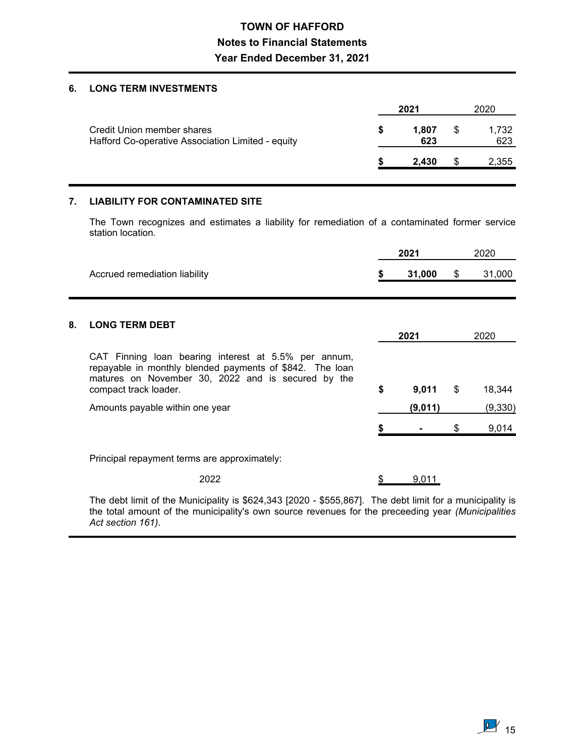### **TOWN OF HAFFORD Notes to Financial Statements Year Ended December 31, 2021**

#### **6. LONG TERM INVESTMENTS**

|                                                                                 | 2021 |              |    | 2020         |  |  |
|---------------------------------------------------------------------------------|------|--------------|----|--------------|--|--|
| Credit Union member shares<br>Hafford Co-operative Association Limited - equity |      | 1.807<br>623 | \$ | 1.732<br>623 |  |  |
|                                                                                 |      | 2.430        | S  | 2,355        |  |  |

#### **7. LIABILITY FOR CONTAMINATED SITE**

The Town recognizes and estimates a liability for remediation of a contaminated former service station location.

|    |                                                                                                                                                                                                 | 2021 |         | 2020 |          |  |
|----|-------------------------------------------------------------------------------------------------------------------------------------------------------------------------------------------------|------|---------|------|----------|--|
|    | Accrued remediation liability                                                                                                                                                                   |      | 31,000  | \$   | 31,000   |  |
|    |                                                                                                                                                                                                 |      |         |      |          |  |
| 8. | <b>LONG TERM DEBT</b>                                                                                                                                                                           |      | 2021    |      | 2020     |  |
|    | CAT Finning loan bearing interest at 5.5% per annum,<br>repayable in monthly blended payments of \$842. The loan<br>matures on November 30, 2022 and is secured by the<br>compact track loader. | \$   | 9,011   | \$   | 18,344   |  |
|    | Amounts payable within one year                                                                                                                                                                 |      | (9,011) |      | (9, 330) |  |
|    |                                                                                                                                                                                                 |      |         |      | 9,014    |  |
|    | Principal repayment terms are approximately:                                                                                                                                                    |      |         |      |          |  |
|    | 2022                                                                                                                                                                                            |      | 9,011   |      |          |  |
|    | *** <i>*</i> ***                                                                                                                                                                                |      | . .     |      |          |  |

The debt limit of the Municipality is \$624,343 [2020 - \$555,867]. The debt limit for a municipality is the total amount of the municipality's own source revenues for the preceeding year *(Municipalities Act section 161)*.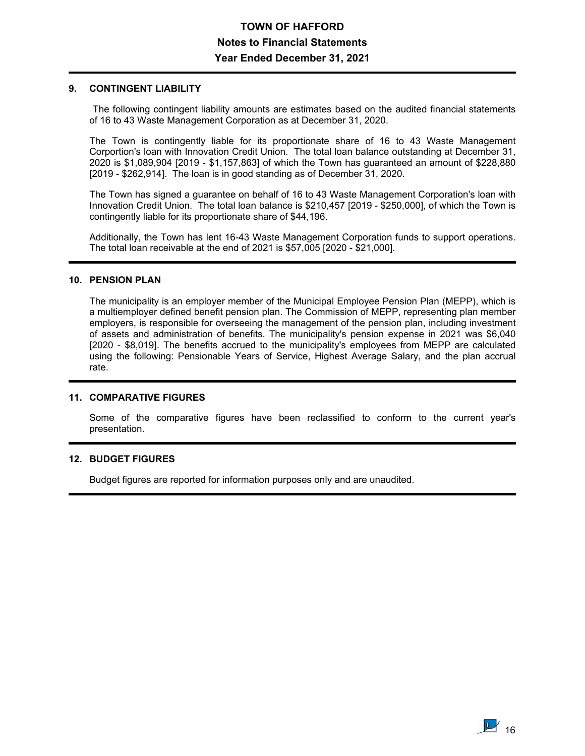#### **9. CONTINGENT LIABILITY**

 The following contingent liability amounts are estimates based on the audited financial statements of 16 to 43 Waste Management Corporation as at December 31, 2020.

The Town is contingently liable for its proportionate share of 16 to 43 Waste Management Corportion's loan with Innovation Credit Union. The total loan balance outstanding at December 31, 2020 is \$1,089,904 [2019 - \$1,157,863] of which the Town has guaranteed an amount of \$228,880 [2019 - \$262,914]. The loan is in good standing as of December 31, 2020.

The Town has signed a guarantee on behalf of 16 to 43 Waste Management Corporation's loan with Innovation Credit Union. The total loan balance is \$210,457 [2019 - \$250,000], of which the Town is contingently liable for its proportionate share of \$44,196.

Additionally, the Town has lent 16-43 Waste Management Corporation funds to support operations. The total loan receivable at the end of 2021 is \$57,005 [2020 - \$21,000].

#### **10. PENSION PLAN**

The municipality is an employer member of the Municipal Employee Pension Plan (MEPP), which is a multiemployer defined benefit pension plan. The Commission of MEPP, representing plan member employers, is responsible for overseeing the management of the pension plan, including investment of assets and administration of benefits. The municipality's pension expense in 2021 was \$6,040 [2020 - \$8,019]. The benefits accrued to the municipality's employees from MEPP are calculated using the following: Pensionable Years of Service, Highest Average Salary, and the plan accrual rate.

#### **11. COMPARATIVE FIGURES**

Some of the comparative figures have been reclassified to conform to the current year's presentation.

#### **12. BUDGET FIGURES**

Budget figures are reported for information purposes only and are unaudited.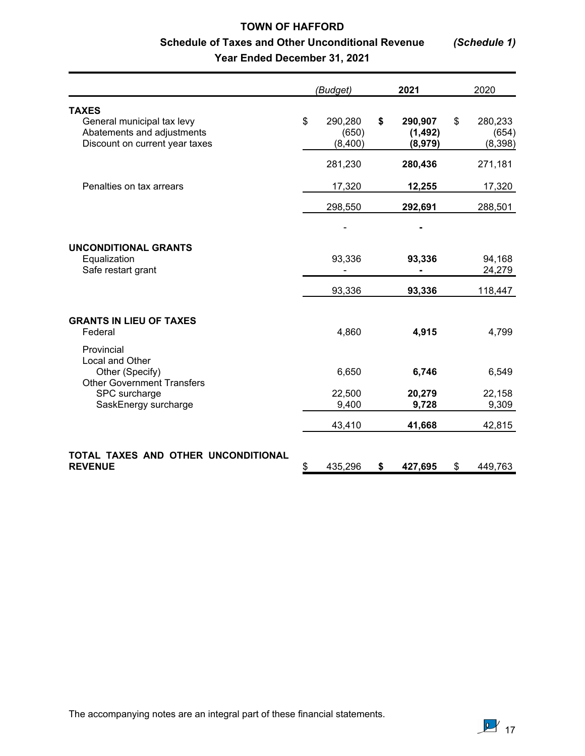### **TOWN OF HAFFORD Schedule of Taxes and Other Unconditional Revenue** *(Schedule 1)* **Year Ended December 31, 2021**

|                                                                                            |    | (Budget)                    | 2021                                 | 2020                               |
|--------------------------------------------------------------------------------------------|----|-----------------------------|--------------------------------------|------------------------------------|
| <b>TAXES</b>                                                                               |    |                             |                                      |                                    |
| General municipal tax levy<br>Abatements and adjustments<br>Discount on current year taxes | \$ | 290,280<br>(650)<br>(8,400) | \$<br>290,907<br>(1, 492)<br>(8,979) | \$<br>280,233<br>(654)<br>(8, 398) |
|                                                                                            |    | 281,230                     | 280,436                              | 271,181                            |
| Penalties on tax arrears                                                                   |    | 17,320                      | 12,255                               | 17,320                             |
|                                                                                            |    | 298,550                     | 292,691                              | 288,501                            |
|                                                                                            |    |                             |                                      |                                    |
| <b>UNCONDITIONAL GRANTS</b><br>Equalization<br>Safe restart grant                          |    | 93,336                      | 93,336                               | 94,168<br>24,279                   |
|                                                                                            |    | 93,336                      | 93,336                               | 118,447                            |
| <b>GRANTS IN LIEU OF TAXES</b><br>Federal                                                  |    | 4,860                       | 4,915                                | 4,799                              |
| Provincial<br>Local and Other<br>Other (Specify)                                           |    | 6,650                       | 6,746                                | 6,549                              |
| <b>Other Government Transfers</b>                                                          |    |                             |                                      |                                    |
| SPC surcharge<br>SaskEnergy surcharge                                                      |    | 22,500<br>9,400             | 20,279<br>9,728                      | 22,158<br>9,309                    |
|                                                                                            |    | 43,410                      | 41,668                               | 42,815                             |
| TOTAL TAXES AND OTHER UNCONDITIONAL<br><b>REVENUE</b>                                      | \$ | 435,296                     | \$<br>427,695                        | \$<br>449,763                      |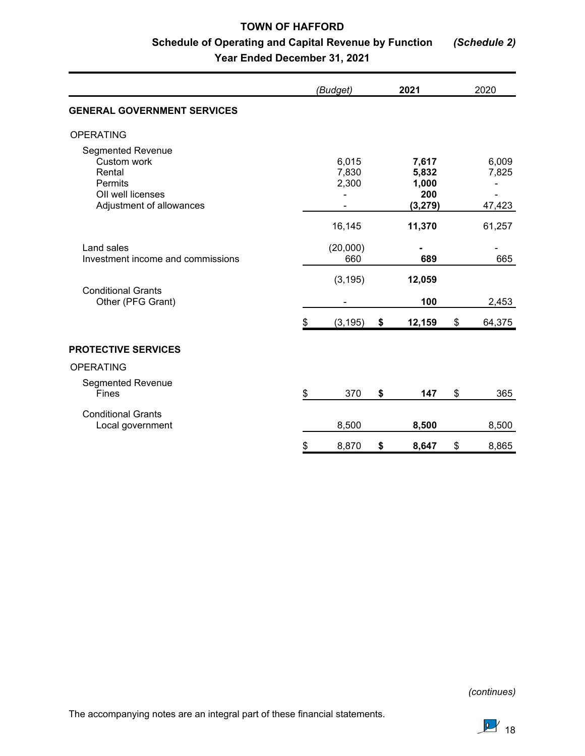### **TOWN OF HAFFORD Schedule of Operating and Capital Revenue by Function** *(Schedule 2)* **Year Ended December 31, 2021**

|                                                                                                               | (Budget)                | 2021                                       | 2020                     |
|---------------------------------------------------------------------------------------------------------------|-------------------------|--------------------------------------------|--------------------------|
| <b>GENERAL GOVERNMENT SERVICES</b>                                                                            |                         |                                            |                          |
| <b>OPERATING</b>                                                                                              |                         |                                            |                          |
| <b>Segmented Revenue</b><br>Custom work<br>Rental<br>Permits<br>OII well licenses<br>Adjustment of allowances | 6,015<br>7,830<br>2,300 | 7,617<br>5,832<br>1,000<br>200<br>(3, 279) | 6,009<br>7,825<br>47,423 |
|                                                                                                               | 16,145                  | 11,370                                     | 61,257                   |
| Land sales<br>Investment income and commissions                                                               | (20,000)<br>660         | 689                                        | 665                      |
| <b>Conditional Grants</b><br>Other (PFG Grant)                                                                | (3, 195)                | 12,059<br>100                              | 2,453                    |
|                                                                                                               | \$<br>(3, 195)          | \$<br>12,159                               | \$<br>64,375             |
| <b>PROTECTIVE SERVICES</b>                                                                                    |                         |                                            |                          |
| <b>OPERATING</b>                                                                                              |                         |                                            |                          |
| <b>Segmented Revenue</b><br><b>Fines</b>                                                                      | \$<br>370               | \$<br>147                                  | \$<br>365                |
| <b>Conditional Grants</b><br>Local government                                                                 | 8,500                   | 8,500                                      | 8,500                    |
|                                                                                                               | \$<br>8,870             | \$<br>8,647                                | \$<br>8,865              |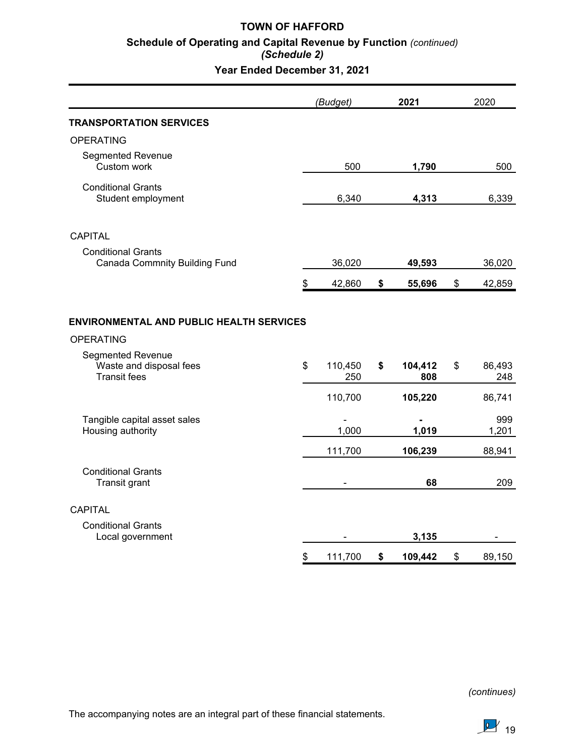## **TOWN OF HAFFORD Schedule of Operating and Capital Revenue by Function** *(continued) (Schedule 2)*

### **Year Ended December 31, 2021**

|                                                                            | (Budget)             | 2021                 | 2020                |
|----------------------------------------------------------------------------|----------------------|----------------------|---------------------|
| <b>TRANSPORTATION SERVICES</b>                                             |                      |                      |                     |
| <b>OPERATING</b>                                                           |                      |                      |                     |
| <b>Segmented Revenue</b><br>Custom work                                    | 500                  | 1,790                | 500                 |
| <b>Conditional Grants</b><br>Student employment                            | 6,340                | 4,313                | 6,339               |
| <b>CAPITAL</b>                                                             |                      |                      |                     |
| <b>Conditional Grants</b><br><b>Canada Commnity Building Fund</b>          | 36,020               | 49,593               | 36,020              |
|                                                                            | \$<br>42,860         | \$<br>55,696         | \$<br>42,859        |
| <b>ENVIRONMENTAL AND PUBLIC HEALTH SERVICES</b><br><b>OPERATING</b>        |                      |                      |                     |
| <b>Segmented Revenue</b><br>Waste and disposal fees<br><b>Transit fees</b> | \$<br>110,450<br>250 | \$<br>104,412<br>808 | \$<br>86,493<br>248 |
|                                                                            | 110,700              | 105,220              | 86,741              |
| Tangible capital asset sales<br>Housing authority                          | 1,000                | 1,019                | 999<br>1,201        |
|                                                                            | 111,700              | 106,239              | 88,941              |
| <b>Conditional Grants</b><br>Transit grant                                 |                      | 68                   | 209                 |
| <b>CAPITAL</b>                                                             |                      |                      |                     |
| <b>Conditional Grants</b><br>Local government                              |                      | 3,135                |                     |
|                                                                            | \$<br>111,700        | \$<br>109,442        | \$<br>89,150        |

*(continues)*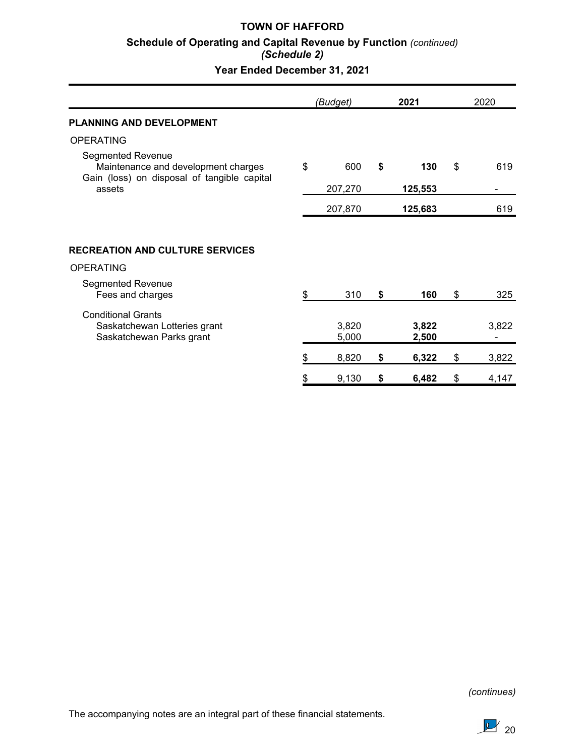### **TOWN OF HAFFORD Schedule of Operating and Capital Revenue by Function** *(continued) (Schedule 2)*

### **Year Ended December 31, 2021**

|                                                                                       | (Budget)       | 2021           | 2020        |
|---------------------------------------------------------------------------------------|----------------|----------------|-------------|
| PLANNING AND DEVELOPMENT                                                              |                |                |             |
| <b>OPERATING</b>                                                                      |                |                |             |
| <b>Segmented Revenue</b><br>Maintenance and development charges                       | \$<br>600      | \$<br>130      | \$<br>619   |
| Gain (loss) on disposal of tangible capital<br>assets                                 | 207,270        | 125,553        | -           |
|                                                                                       | 207,870        | 125,683        | 619         |
|                                                                                       |                |                |             |
| <b>RECREATION AND CULTURE SERVICES</b>                                                |                |                |             |
| <b>OPERATING</b>                                                                      |                |                |             |
| <b>Segmented Revenue</b><br>Fees and charges                                          | \$<br>310      | \$<br>160      | \$<br>325   |
| <b>Conditional Grants</b><br>Saskatchewan Lotteries grant<br>Saskatchewan Parks grant | 3,820<br>5,000 | 3,822<br>2,500 | 3,822       |
|                                                                                       | \$<br>8,820    | \$<br>6,322    | \$<br>3,822 |
|                                                                                       | \$<br>9,130    | \$<br>6,482    | \$<br>4,147 |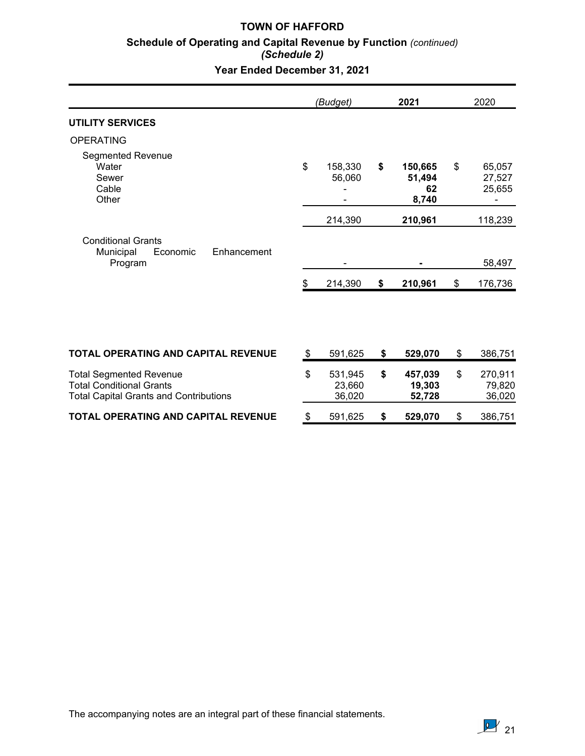# **TOWN OF HAFFORD Schedule of Operating and Capital Revenue by Function** *(continued) (Schedule 2)*

|                                                                                                                    | (Budget)                          | 2021                                   | 2020                              |
|--------------------------------------------------------------------------------------------------------------------|-----------------------------------|----------------------------------------|-----------------------------------|
| <b>UTILITY SERVICES</b>                                                                                            |                                   |                                        |                                   |
| <b>OPERATING</b>                                                                                                   |                                   |                                        |                                   |
| <b>Segmented Revenue</b><br>Water<br>Sewer<br>Cable<br>Other                                                       | \$<br>158,330<br>56,060           | \$<br>150,665<br>51,494<br>62<br>8,740 | \$<br>65,057<br>27,527<br>25,655  |
|                                                                                                                    | 214,390                           | 210,961                                | 118,239                           |
| <b>Conditional Grants</b><br>Enhancement<br>Municipal<br>Economic<br>Program                                       |                                   |                                        | 58,497                            |
|                                                                                                                    | \$<br>214,390                     | \$<br>210,961                          | \$<br>176,736                     |
| <b>TOTAL OPERATING AND CAPITAL REVENUE</b>                                                                         | \$<br>591,625                     | \$<br>529,070                          | \$<br>386,751                     |
| <b>Total Segmented Revenue</b><br><b>Total Conditional Grants</b><br><b>Total Capital Grants and Contributions</b> | \$<br>531,945<br>23,660<br>36,020 | \$<br>457,039<br>19,303<br>52,728      | \$<br>270,911<br>79,820<br>36,020 |
| <b>TOTAL OPERATING AND CAPITAL REVENUE</b>                                                                         | \$<br>591,625                     | \$<br>529,070                          | \$<br>386,751                     |

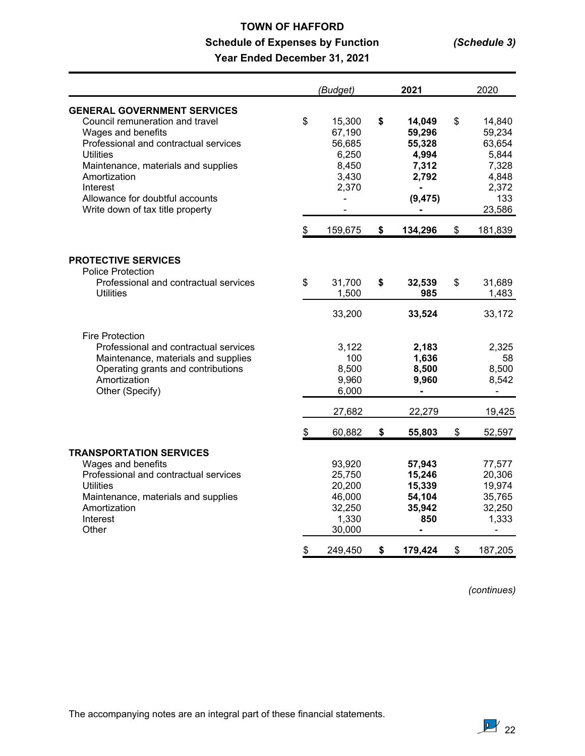### **TOWN OF HAFFORD Schedule of Expenses by Function** *(Schedule 3)* **Year Ended December 31, 2021**

|                                                                                                                                                                                                                                                                                             | (Budget)                                                                               | 2021                                                                         | 2020                                                                                  |
|---------------------------------------------------------------------------------------------------------------------------------------------------------------------------------------------------------------------------------------------------------------------------------------------|----------------------------------------------------------------------------------------|------------------------------------------------------------------------------|---------------------------------------------------------------------------------------|
| <b>GENERAL GOVERNMENT SERVICES</b><br>Council remuneration and travel<br>Wages and benefits<br>Professional and contractual services<br>Utilities<br>Maintenance, materials and supplies<br>Amortization<br>Interest<br>Allowance for doubtful accounts<br>Write down of tax title property | \$<br>15,300<br>67,190<br>56,685<br>6,250<br>8,450<br>3,430<br>2,370<br>$\blacksquare$ | \$<br>14,049<br>59,296<br>55,328<br>4,994<br>7,312<br>2,792<br>(9, 475)      | \$<br>14,840<br>59,234<br>63,654<br>5,844<br>7,328<br>4,848<br>2,372<br>133<br>23,586 |
|                                                                                                                                                                                                                                                                                             | \$<br>159,675                                                                          | \$<br>134,296                                                                | \$<br>181,839                                                                         |
| <b>PROTECTIVE SERVICES</b><br><b>Police Protection</b><br>Professional and contractual services<br>Utilities                                                                                                                                                                                | \$<br>31,700<br>1,500                                                                  | \$<br>32,539<br>985                                                          | \$<br>31,689<br>1,483                                                                 |
|                                                                                                                                                                                                                                                                                             | 33,200                                                                                 | 33,524                                                                       | 33,172                                                                                |
| <b>Fire Protection</b><br>Professional and contractual services<br>Maintenance, materials and supplies<br>Operating grants and contributions<br>Amortization<br>Other (Specify)                                                                                                             | 3,122<br>100<br>8,500<br>9,960<br>6,000<br>27,682                                      | 2,183<br>1,636<br>8,500<br>9,960<br>-<br>22,279                              | 2,325<br>58<br>8,500<br>8,542<br>$\blacksquare$<br>19,425                             |
|                                                                                                                                                                                                                                                                                             | \$<br>60,882                                                                           | \$<br>55,803                                                                 | \$<br>52,597                                                                          |
| <b>TRANSPORTATION SERVICES</b><br>Wages and benefits<br>Professional and contractual services<br>Utilities<br>Maintenance, materials and supplies<br>Amortization<br>Interest<br>Other                                                                                                      | \$<br>93,920<br>25,750<br>20,200<br>46,000<br>32,250<br>1,330<br>30,000<br>249,450     | \$<br>57,943<br>15,246<br>15,339<br>54,104<br>35,942<br>850<br>÷,<br>179,424 | \$<br>77,577<br>20,306<br>19,974<br>35,765<br>32,250<br>1,333<br>187,205              |

*(continues)*

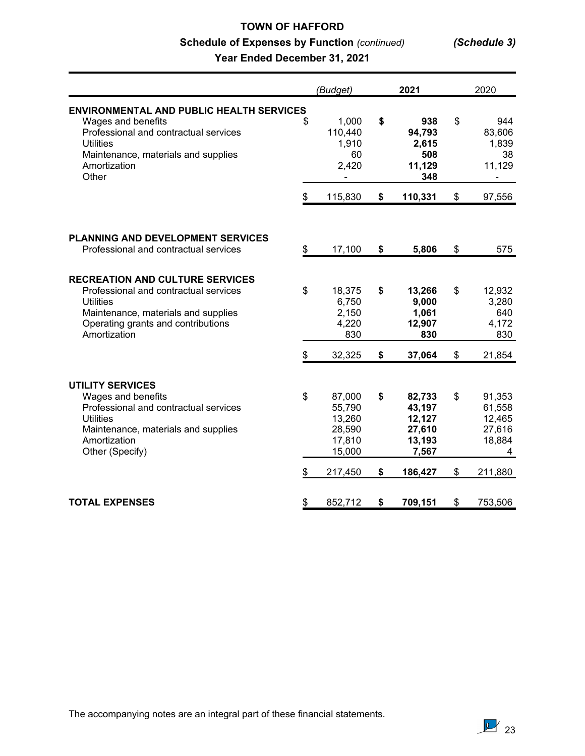### **TOWN OF HAFFORD Schedule of Expenses by Function** *(continued) (Schedule 3)* **Year Ended December 31, 2021**

|                                                                                                                                                           | (Budget)                                                       | 2021                                                          | 2020                                                      |
|-----------------------------------------------------------------------------------------------------------------------------------------------------------|----------------------------------------------------------------|---------------------------------------------------------------|-----------------------------------------------------------|
| <b>ENVIRONMENTAL AND PUBLIC HEALTH SERVICES</b>                                                                                                           |                                                                |                                                               |                                                           |
| Wages and benefits<br>Professional and contractual services<br><b>Utilities</b><br>Maintenance, materials and supplies<br>Amortization<br>Other           | \$<br>1,000<br>110,440<br>1,910<br>60<br>2,420                 | \$<br>938<br>94,793<br>2,615<br>508<br>11,129<br>348          | \$<br>944<br>83,606<br>1,839<br>38<br>11,129              |
|                                                                                                                                                           | \$<br>115,830                                                  | \$<br>110,331                                                 | \$<br>97,556                                              |
| PLANNING AND DEVELOPMENT SERVICES<br>Professional and contractual services                                                                                | \$<br>17,100                                                   | \$<br>5,806                                                   | \$<br>575                                                 |
| <b>RECREATION AND CULTURE SERVICES</b>                                                                                                                    |                                                                |                                                               |                                                           |
| Professional and contractual services<br>Utilities<br>Maintenance, materials and supplies<br>Operating grants and contributions<br>Amortization           | \$<br>18,375<br>6,750<br>2,150<br>4,220<br>830                 | \$<br>13,266<br>9,000<br>1,061<br>12,907<br>830               | \$<br>12,932<br>3,280<br>640<br>4,172<br>830              |
|                                                                                                                                                           | \$<br>32,325                                                   | \$<br>37,064                                                  | \$<br>21,854                                              |
| <b>UTILITY SERVICES</b>                                                                                                                                   |                                                                |                                                               |                                                           |
| Wages and benefits<br>Professional and contractual services<br><b>Utilities</b><br>Maintenance, materials and supplies<br>Amortization<br>Other (Specify) | \$<br>87,000<br>55,790<br>13,260<br>28,590<br>17,810<br>15,000 | \$<br>82,733<br>43,197<br>12,127<br>27,610<br>13,193<br>7,567 | \$<br>91,353<br>61,558<br>12,465<br>27,616<br>18,884<br>4 |
|                                                                                                                                                           | \$<br>217,450                                                  | \$<br>186,427                                                 | \$<br>211,880                                             |
| <b>TOTAL EXPENSES</b>                                                                                                                                     | \$<br>852,712                                                  | \$<br>709,151                                                 | \$<br>753,506                                             |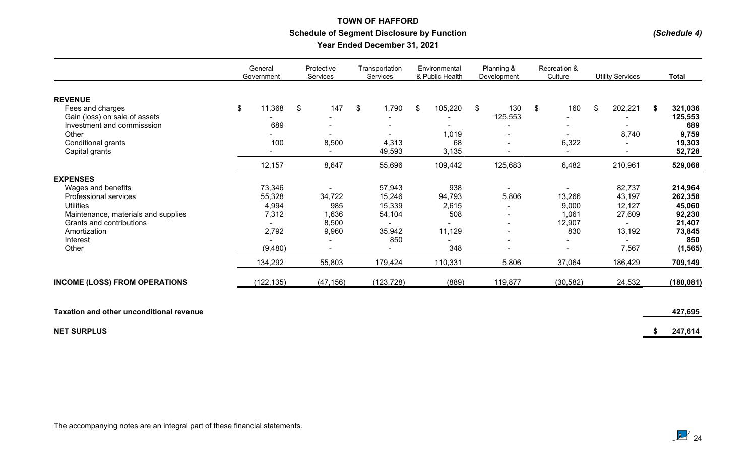### **TOWN OF HAFFORD Schedule of Segment Disclosure by Function** *(Schedule 4)* **Year Ended December 31, 2021**

|                                      | General<br>Government |                            | Protective<br>Services |                | Transportation<br>Services |    | Environmental<br>& Public Health | Planning &<br>Development | Recreation &<br>Culture |           | <b>Utility Services</b> |         |    | <b>Total</b> |
|--------------------------------------|-----------------------|----------------------------|------------------------|----------------|----------------------------|----|----------------------------------|---------------------------|-------------------------|-----------|-------------------------|---------|----|--------------|
| <b>REVENUE</b>                       |                       |                            |                        |                |                            |    |                                  |                           |                         |           |                         |         |    |              |
| Fees and charges                     | \$<br>11,368          | $\boldsymbol{\mathsf{\$}}$ | 147                    | $\mathfrak{S}$ | 1,790                      | \$ | 105,220                          | 130<br>\$                 | \$                      | 160       | $\mathfrak{S}$          | 202,221 | S. | 321,036      |
| Gain (loss) on sale of assets        |                       |                            |                        |                |                            |    |                                  | 125,553                   |                         |           |                         |         |    | 125,553      |
| Investment and commisssion           | 689                   |                            |                        |                |                            |    |                                  | ۰                         |                         |           |                         |         |    | 689          |
| Other                                |                       |                            |                        |                |                            |    | 1,019                            | $\sim$                    |                         |           |                         | 8,740   |    | 9,759        |
| Conditional grants                   | 100                   |                            | 8,500                  |                | 4,313                      |    | 68                               |                           |                         | 6,322     |                         |         |    | 19,303       |
| Capital grants                       |                       |                            |                        |                | 49,593                     |    | 3,135                            | ٠                         |                         |           |                         |         |    | 52,728       |
|                                      | 12,157                |                            | 8,647                  |                | 55,696                     |    | 109,442                          | 125,683                   |                         | 6,482     |                         | 210,961 |    | 529,068      |
| <b>EXPENSES</b>                      |                       |                            |                        |                |                            |    |                                  |                           |                         |           |                         |         |    |              |
| Wages and benefits                   | 73,346                |                            |                        |                | 57,943                     |    | 938                              |                           |                         |           |                         | 82,737  |    | 214,964      |
| Professional services                | 55,328                |                            | 34,722                 |                | 15,246                     |    | 94,793                           | 5,806                     |                         | 13,266    |                         | 43,197  |    | 262,358      |
| <b>Utilities</b>                     | 4,994                 |                            | 985                    |                | 15,339                     |    | 2,615                            |                           |                         | 9,000     |                         | 12,127  |    | 45,060       |
| Maintenance, materials and supplies  | 7,312                 |                            | 1,636                  |                | 54,104                     |    | 508                              | $\blacksquare$            |                         | 1,061     |                         | 27,609  |    | 92,230       |
| Grants and contributions             |                       |                            | 8,500                  |                |                            |    |                                  | $\overline{\phantom{a}}$  |                         | 12,907    |                         |         |    | 21,407       |
| Amortization                         | 2,792                 |                            | 9,960                  |                | 35,942                     |    | 11,129                           | $\blacksquare$            |                         | 830       |                         | 13,192  |    | 73,845       |
| Interest                             |                       |                            |                        |                | 850                        |    |                                  | $\blacksquare$            |                         |           |                         |         |    | 850          |
| Other                                | (9,480)               |                            |                        |                |                            |    | 348                              |                           |                         |           |                         | 7,567   |    | (1, 565)     |
|                                      | 134,292               |                            | 55,803                 |                | 179,424                    |    | 110,331                          | 5,806                     |                         | 37,064    |                         | 186,429 |    | 709,149      |
| <b>INCOME (LOSS) FROM OPERATIONS</b> | (122, 135)            |                            | (47, 156)              |                | (123, 728)                 |    | (889)                            | 119,877                   |                         | (30, 582) |                         | 24,532  |    | (180, 081)   |

#### **Taxation and other unconditional revenue 427,695**

**NET SURPLUS \$ 247,614**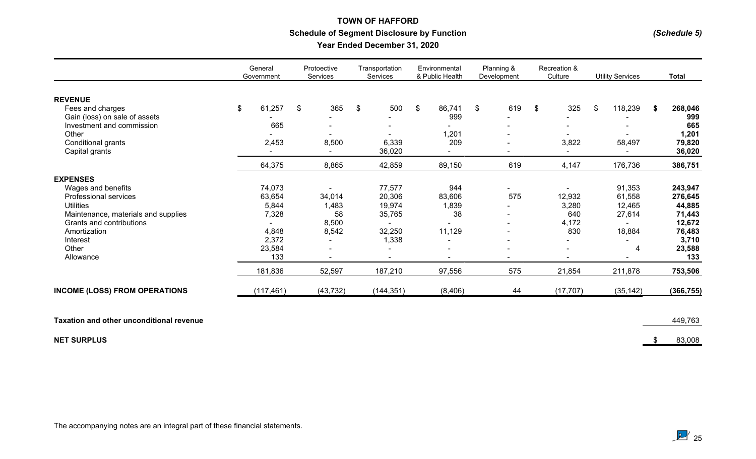### **TOWN OF HAFFORD Schedule of Segment Disclosure by Function** *(Schedule 5)* **Year Ended December 31, 2020**

|                                      | General<br>Government |     | Protoective<br>Services | Transportation<br><b>Services</b> | Environmental<br>& Public Health | Planning &<br>Development | Recreation &<br>Culture | <b>Utility Services</b> |           | <b>Total</b>  |
|--------------------------------------|-----------------------|-----|-------------------------|-----------------------------------|----------------------------------|---------------------------|-------------------------|-------------------------|-----------|---------------|
| <b>REVENUE</b>                       |                       |     |                         |                                   |                                  |                           |                         |                         |           |               |
| Fees and charges                     | \$<br>61,257          | \$  | 365                     | $\mathfrak{F}$<br>500             | \$<br>86,741                     | 619<br>\$                 | \$<br>325               | $\mathfrak{F}$          | 118,239   | 268,046<br>S. |
| Gain (loss) on sale of assets        |                       |     |                         |                                   | 999                              |                           |                         |                         |           | 999           |
| Investment and commission            |                       | 665 |                         |                                   |                                  |                           |                         |                         |           | 665           |
| Other                                |                       |     |                         |                                   | 1,201                            |                           |                         |                         |           | 1,201         |
| Conditional grants                   | 2,453                 |     | 8,500                   | 6,339                             | 209                              |                           | 3,822                   |                         | 58,497    | 79,820        |
| Capital grants                       |                       |     |                         | 36,020                            |                                  | $\overline{\phantom{a}}$  |                         |                         |           | 36,020        |
|                                      | 64,375                |     | 8,865                   | 42,859                            | 89,150                           | 619                       | 4,147                   |                         | 176,736   | 386,751       |
| <b>EXPENSES</b>                      |                       |     |                         |                                   |                                  |                           |                         |                         |           |               |
| Wages and benefits                   | 74,073                |     |                         | 77,577                            | 944                              |                           |                         |                         | 91,353    | 243,947       |
| Professional services                | 63,654                |     | 34,014                  | 20,306                            | 83,606                           | 575                       | 12,932                  |                         | 61,558    | 276,645       |
| <b>Utilities</b>                     | 5,844                 |     | 1,483                   | 19,974                            | 1,839                            |                           | 3,280                   |                         | 12,465    | 44,885        |
| Maintenance, materials and supplies  | 7,328                 |     | 58                      | 35,765                            | 38                               |                           | 640                     |                         | 27,614    | 71,443        |
| Grants and contributions             |                       |     | 8,500                   |                                   |                                  |                           | 4,172                   |                         |           | 12,672        |
| Amortization                         | 4,848                 |     | 8,542                   | 32,250                            | 11,129                           |                           | 830                     |                         | 18,884    | 76,483        |
| Interest                             | 2,372                 |     |                         | 1,338                             | $\blacksquare$                   | $\overline{\phantom{a}}$  |                         |                         |           | 3,710         |
| Other                                | 23,584                |     |                         |                                   | $\overline{\phantom{a}}$         | $\blacksquare$            | $\blacksquare$          |                         | 4         | 23,588        |
| Allowance                            |                       | 133 |                         |                                   |                                  |                           |                         |                         |           | 133           |
|                                      | 181,836               |     | 52,597                  | 187,210                           | 97,556                           | 575                       | 21,854                  |                         | 211,878   | 753,506       |
| <b>INCOME (LOSS) FROM OPERATIONS</b> | (117, 461)            |     | (43, 732)               | (144, 351)                        | (8,406)                          | 44                        | (17, 707)               |                         | (35, 142) | (366, 755)    |

#### **Taxation and other unconditional revenue** 449,763

**NET SURPLUS** \$ 83,008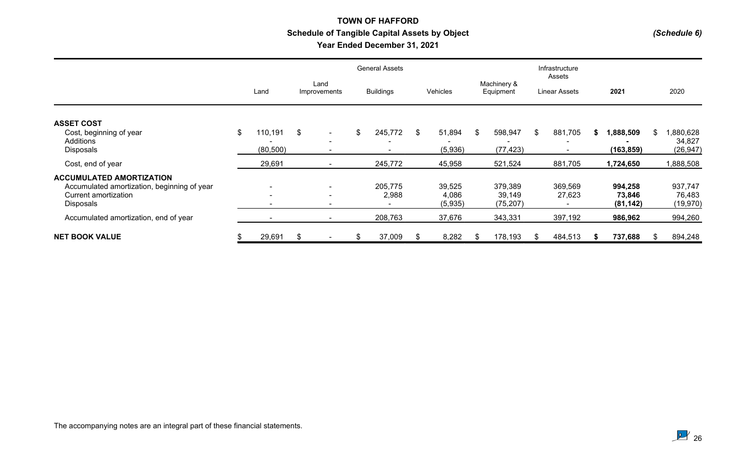### **TOWN OF HAFFORD Schedule of Tangible Capital Assets by Object** *(Schedule 6)* **Year Ended December 31, 2021**

|                                                                                                                            |                            |    |                      |    | <b>General Assets</b> |    |                            |     |                                |    | Infrastructure          |      |                                |    |                                 |
|----------------------------------------------------------------------------------------------------------------------------|----------------------------|----|----------------------|----|-----------------------|----|----------------------------|-----|--------------------------------|----|-------------------------|------|--------------------------------|----|---------------------------------|
|                                                                                                                            | Land                       |    | Land<br>Improvements |    | <b>Buildings</b>      |    | Vehicles                   |     | Machinery &<br>Equipment       |    | Assets<br>Linear Assets | 2021 |                                |    | 2020                            |
| <b>ASSET COST</b>                                                                                                          |                            |    |                      |    |                       |    |                            |     |                                |    |                         |      |                                |    |                                 |
| Cost, beginning of year<br>Additions<br>Disposals                                                                          | \$<br>110,191<br>(80, 500) | \$ |                      | \$ | 245,772               | \$ | 51,894<br>(5,936)          | S.  | 598,947<br>(77, 423)           | \$ | 881,705                 | S    | 1,888,509<br>(163, 859)        | \$ | 880,628,<br>34,827<br>(26, 947) |
| Cost, end of year                                                                                                          | 29,691                     |    |                      |    | 245,772               |    | 45,958                     |     | 521,524                        |    | 881,705                 |      | 1,724,650                      |    | 1,888,508                       |
| <b>ACCUMULATED AMORTIZATION</b><br>Accumulated amortization, beginning of year<br>Current amortization<br><b>Disposals</b> | $\blacksquare$             |    | $\sim$               |    | 205,775<br>2,988      |    | 39,525<br>4,086<br>(5,935) |     | 379,389<br>39,149<br>(75, 207) |    | 369,569<br>27,623       |      | 994,258<br>73,846<br>(81, 142) |    | 937,747<br>76,483<br>(19, 970)  |
| Accumulated amortization, end of year                                                                                      |                            |    | $\blacksquare$       |    | 208,763               |    | 37,676                     |     | 343,331                        |    | 397,192                 |      | 986,962                        |    | 994,260                         |
| <b>NET BOOK VALUE</b>                                                                                                      | 29,691                     | \$ |                      | \$ | 37,009                |    | 8,282                      | \$. | 178,193                        |    | 484,513                 |      | 737,688                        | ß. | 894,248                         |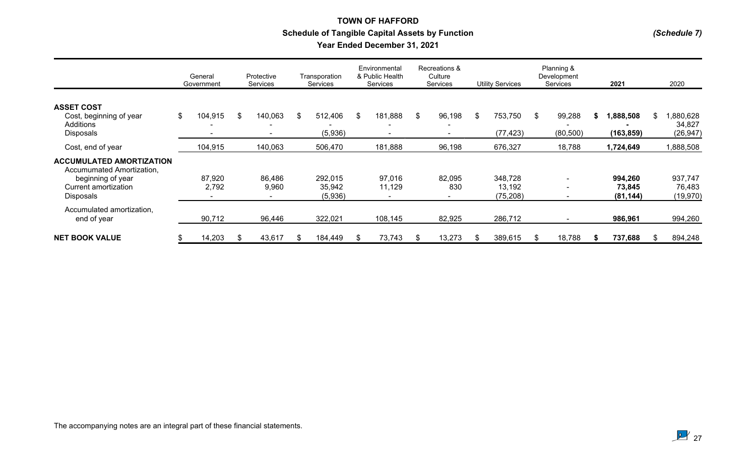### **TOWN OF HAFFORD Schedule of Tangible Capital Assets by Function**<br> **Schedule 7) Schedule 7) Schedule 7) Year Ended December 31, 2021**

| <b>ASSET COST</b><br>Cost, beginning of year<br>Additions<br>Disposals                                                        |  | General<br>Government |     |                   |    | Protective<br><b>Services</b> |     | Transporation<br>Services           |                                | Environmental<br>& Public Health<br>Services | Recreations &<br>Culture<br>Services | <b>Utility Services</b>        | Planning &<br>Development<br>Services | 2021                           |  | 2020 |
|-------------------------------------------------------------------------------------------------------------------------------|--|-----------------------|-----|-------------------|----|-------------------------------|-----|-------------------------------------|--------------------------------|----------------------------------------------|--------------------------------------|--------------------------------|---------------------------------------|--------------------------------|--|------|
|                                                                                                                               |  | 104,915               | \$  | 140,063<br>$\sim$ | \$ | 512,406<br>(5,936)            | \$. | 181,888<br>$\overline{\phantom{0}}$ | \$<br>96,198<br>$\blacksquare$ | \$<br>753,750<br>(77, 423)                   | \$<br>99,288<br>(80, 500)            | ,888,508<br>(163, 859)         | \$                                    | 880,628<br>34,827<br>(26, 947) |  |      |
| Cost, end of year                                                                                                             |  | 104,915               |     | 140,063           |    | 506,470                       |     | 181,888                             | 96,198                         | 676,327                                      | 18,788                               | 1,724,649                      |                                       | 1,888,508                      |  |      |
| <b>ACCUMULATED AMORTIZATION</b><br>Accumumated Amortization,<br>beginning of year<br><b>Current amortization</b><br>Disposals |  | 87,920<br>2,792       |     | 86,486<br>9,960   |    | 292,015<br>35,942<br>(5,936)  |     | 97,016<br>11,129                    | 82,095<br>830                  | 348,728<br>13,192<br>(75, 208)               |                                      | 994,260<br>73,845<br>(81, 144) |                                       | 937,747<br>76,483<br>(19, 970) |  |      |
| Accumulated amortization,<br>end of year                                                                                      |  | 90,712                |     | 96,446            |    | 322,021                       |     | 108,145                             | 82,925                         | 286,712                                      |                                      | 986,961                        |                                       | 994,260                        |  |      |
| <b>NET BOOK VALUE</b>                                                                                                         |  | 14,203                | \$. | 43,617            | £. | 184,449                       |     | 73,743                              | 13,273                         | 389,615                                      | 18,788                               | 737,688                        | £.                                    | 894,248                        |  |      |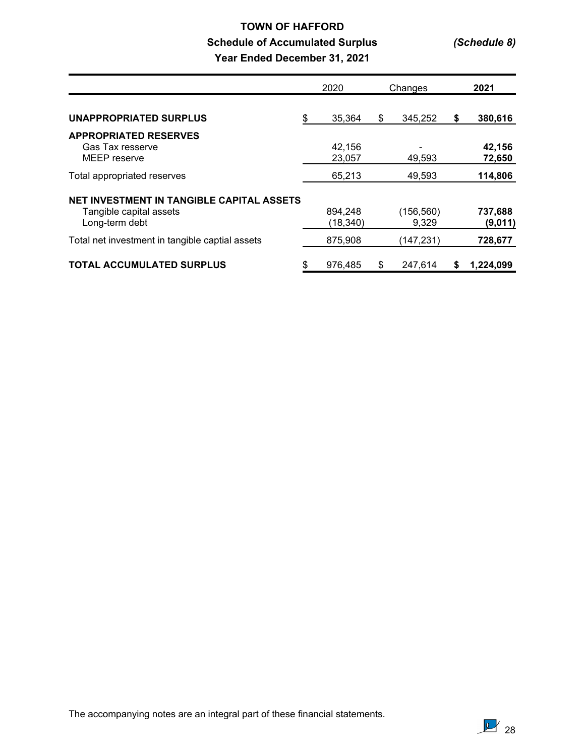### **TOWN OF HAFFORD Schedule of Accumulated Surplus** *(Schedule 8)* **Year Ended December 31, 2021**

|                                                                                               | 2020<br>Changes      |    |                     | 2021 |                    |
|-----------------------------------------------------------------------------------------------|----------------------|----|---------------------|------|--------------------|
|                                                                                               |                      |    |                     |      |                    |
| <b>UNAPPROPRIATED SURPLUS</b>                                                                 | \$<br>35,364         | \$ | 345,252             | \$   | 380,616            |
| <b>APPROPRIATED RESERVES</b><br>Gas Tax resserve<br>MEEP reserve                              | 42,156<br>23,057     |    | 49,593              |      | 42,156<br>72,650   |
| Total appropriated reserves                                                                   | 65,213               |    | 49,593              |      | 114,806            |
| <b>NET INVESTMENT IN TANGIBLE CAPITAL ASSETS</b><br>Tangible capital assets<br>Long-term debt | 894,248<br>(18, 340) |    | (156, 560)<br>9.329 |      | 737,688<br>(9,011) |
| Total net investment in tangible captial assets                                               | 875,908              |    | (147, 231)          |      | 728,677            |
| <b>TOTAL ACCUMULATED SURPLUS</b>                                                              | \$<br>976,485        | \$ | 247,614             | S    | 1,224,099          |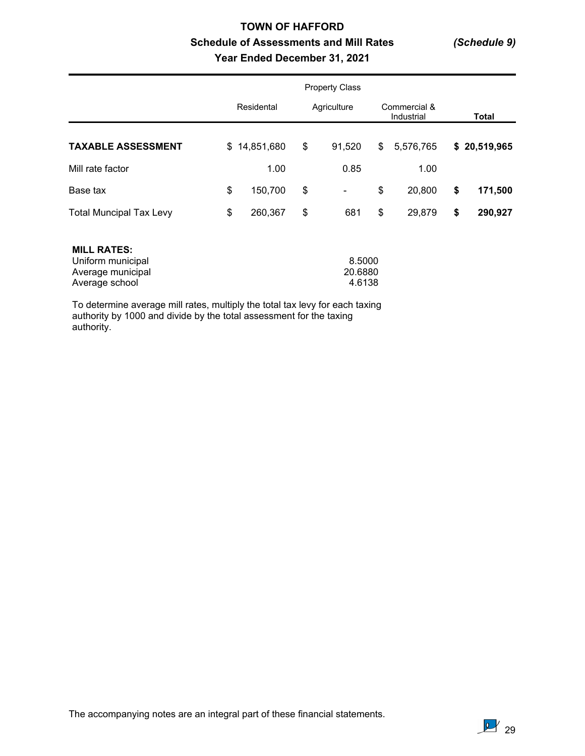## **TOWN OF HAFFORD Schedule of Assessments and Mill Rates** *(Schedule 9)* **Year Ended December 31, 2021**

|                                               | <b>Property Class</b> |                      |             |                |                            |                   |               |
|-----------------------------------------------|-----------------------|----------------------|-------------|----------------|----------------------------|-------------------|---------------|
|                                               |                       | Residental           | Agriculture |                | Commercial &<br>Industrial |                   | <b>Total</b>  |
| <b>TAXABLE ASSESSMENT</b><br>Mill rate factor |                       | \$14,851,680<br>1.00 | \$          | 91,520<br>0.85 | \$                         | 5,576,765<br>1.00 | \$20,519,965  |
| Base tax                                      | \$                    | 150,700              | \$          | ۰              | \$                         | 20,800            | \$<br>171,500 |
| <b>Total Muncipal Tax Levy</b>                | \$                    | 260,367              | \$          | 681            | \$                         | 29,879            | \$<br>290,927 |

| <b>MILL RATES:</b> |         |
|--------------------|---------|
| Uniform municipal  | 8.5000  |
| Average municipal  | 20.6880 |
| Average school     | 4.6138  |

To determine average mill rates, multiply the total tax levy for each taxing authority by 1000 and divide by the total assessment for the taxing authority.